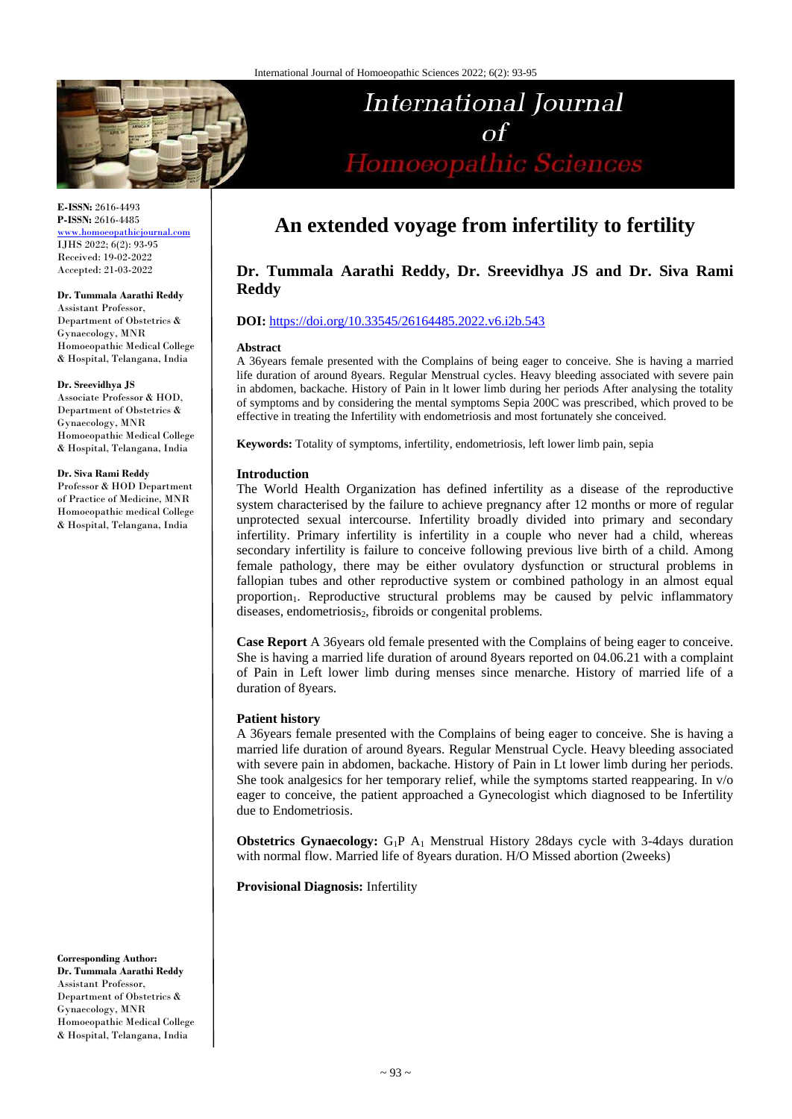

**E-ISSN:** 2616-4493 **P-ISSN:** 2616-4485 [www.homoeopathicjournal.com](file://///Server/test/homoeopathicjournal/issue/vol%204/issue%201/www.homoeopathicjournal.com) IJHS 2022; 6(2): 93-95 Received: 19-02-2022 Accepted: 21-03-2022

#### **Dr. Tummala Aarathi Reddy**

Assistant Professor, Department of Obstetrics & Gynaecology, MNR Homoeopathic Medical College & Hospital, Telangana, India

#### **Dr. Sreevidhya JS**

Associate Professor & HOD, Department of Obstetrics & Gynaecology, MNR Homoeopathic Medical College & Hospital, Telangana, India

#### **Dr. Siva Rami Reddy**

Professor & HOD Department of Practice of Medicine, MNR Homoeopathic medical College & Hospital, Telangana, India

**Corresponding Author: Dr. Tummala Aarathi Reddy** Assistant Professor, Department of Obstetrics & Gynaecology, MNR Homoeopathic Medical College & Hospital, Telangana, India

# **An extended voyage from infertility to fertility**

International Journal

 $\Omega$ 

Homoeopathic Sciences

# **Dr. Tummala Aarathi Reddy, Dr. Sreevidhya JS and Dr. Siva Rami Reddy**

# **DOI:** <https://doi.org/10.33545/26164485.2022.v6.i2b.543>

#### **Abstract**

A 36years female presented with the Complains of being eager to conceive. She is having a married life duration of around 8years. Regular Menstrual cycles. Heavy bleeding associated with severe pain in abdomen, backache. History of Pain in lt lower limb during her periods After analysing the totality of symptoms and by considering the mental symptoms Sepia 200C was prescribed, which proved to be effective in treating the Infertility with endometriosis and most fortunately she conceived.

**Keywords:** Totality of symptoms, infertility, endometriosis, left lower limb pain, sepia

## **Introduction**

The World Health Organization has defined infertility as a disease of the reproductive system characterised by the failure to achieve pregnancy after 12 months or more of regular unprotected sexual intercourse. Infertility broadly divided into primary and secondary infertility. Primary infertility is infertility in a couple who never had a child, whereas secondary infertility is failure to conceive following previous live birth of a child. Among female pathology, there may be either ovulatory dysfunction or structural problems in fallopian tubes and other reproductive system or combined pathology in an almost equal proportion1. Reproductive structural problems may be caused by pelvic inflammatory diseases, endometriosis<sub>2</sub>, fibroids or congenital problems.

**Case Report** A 36years old female presented with the Complains of being eager to conceive. She is having a married life duration of around 8years reported on 04.06.21 with a complaint of Pain in Left lower limb during menses since menarche. History of married life of a duration of 8years.

## **Patient history**

A 36years female presented with the Complains of being eager to conceive. She is having a married life duration of around 8years. Regular Menstrual Cycle. Heavy bleeding associated with severe pain in abdomen, backache. History of Pain in Lt lower limb during her periods. She took analgesics for her temporary relief, while the symptoms started reappearing. In v/o eager to conceive, the patient approached a Gynecologist which diagnosed to be Infertility due to Endometriosis.

**Obstetrics Gynaecology:** G<sub>1</sub>P A<sub>1</sub> Menstrual History 28days cycle with 3-4days duration with normal flow. Married life of 8years duration. H/O Missed abortion (2weeks)

**Provisional Diagnosis:** Infertility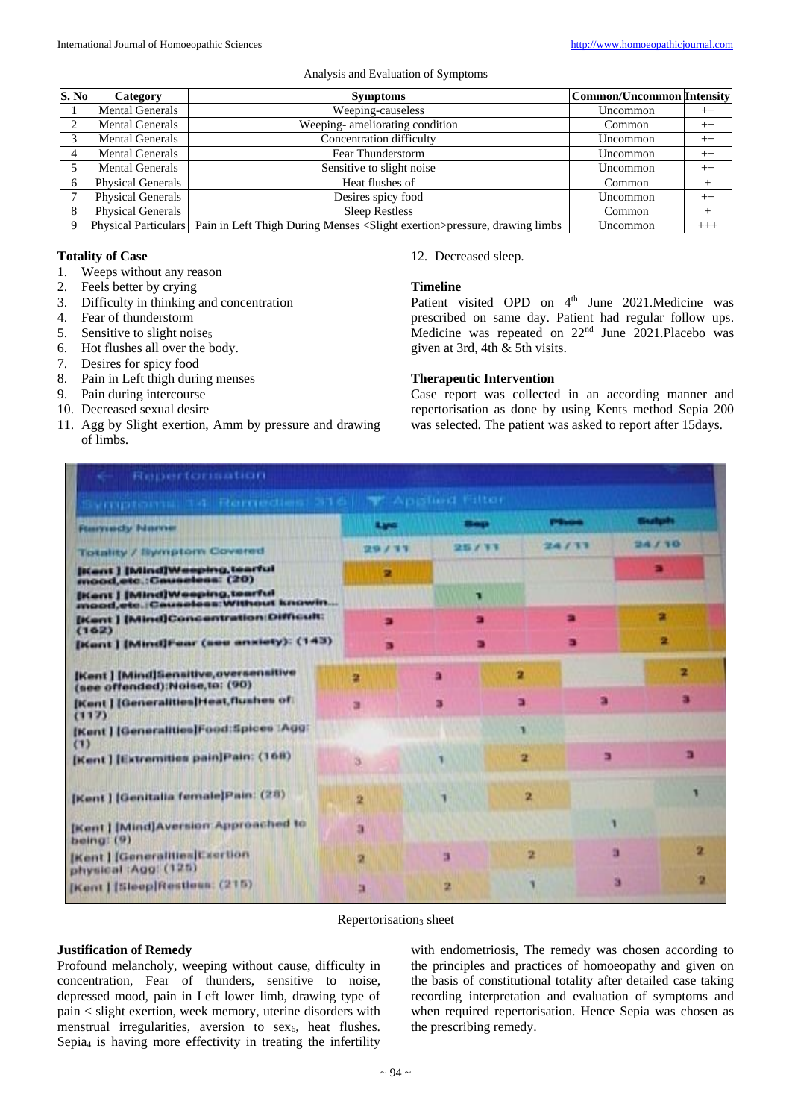#### Analysis and Evaluation of Symptoms

| S. No | Category                 | <b>Symptoms</b>                                                                                            | <b>Common/Uncommon Intensity</b> |          |
|-------|--------------------------|------------------------------------------------------------------------------------------------------------|----------------------------------|----------|
|       | <b>Mental Generals</b>   | Weeping-causeless                                                                                          | Uncommon                         | $^{++}$  |
|       | <b>Mental Generals</b>   | Weeping-ameliorating condition                                                                             | Common                           | $++$     |
|       | <b>Mental Generals</b>   | Concentration difficulty                                                                                   | Uncommon                         | $^{++}$  |
|       | <b>Mental Generals</b>   | Fear Thunderstorm                                                                                          | Uncommon                         | $++$     |
|       | <b>Mental Generals</b>   | Sensitive to slight noise                                                                                  | Uncommon                         | $++$     |
| 6     | <b>Physical Generals</b> | Heat flushes of                                                                                            | Common                           | $\,$     |
|       | <b>Physical Generals</b> | Desires spicy food                                                                                         | Uncommon                         | $++$     |
| 8     | <b>Physical Generals</b> | <b>Sleep Restless</b>                                                                                      | Common                           |          |
| -9    |                          | Physical Particulars Pain in Left Thigh During Menses <slight exertion="">pressure, drawing limbs</slight> | Uncommon                         | $^{+++}$ |

# **Totality of Case**

- 1. Weeps without any reason
- 2. Feels better by crying
- 3. Difficulty in thinking and concentration
- 4. Fear of thunderstorm
- 5. Sensitive to slight noises
- 6. Hot flushes all over the body.
- 7. Desires for spicy food
- 8. Pain in Left thigh during menses
- 9. Pain during intercourse
- 10. Decreased sexual desire
- 11. Agg by Slight exertion, Amm by pressure and drawing of limbs.

12. Decreased sleep.

# **Timeline**

Patient visited OPD on 4<sup>th</sup> June 2021.Medicine was prescribed on same day. Patient had regular follow ups. Medicine was repeated on 22<sup>nd</sup> June 2021.Placebo was given at 3rd, 4th & 5th visits.

#### **Therapeutic Intervention**

Case report was collected in an according manner and repertorisation as done by using Kents method Sepia 200 was selected. The patient was asked to report after 15days.

| vingtorna 34 Remedies 316 W Applied Filter                              |       |       |   |       |               |
|-------------------------------------------------------------------------|-------|-------|---|-------|---------------|
| <b>Fournesty Marine</b>                                                 | Lyo   |       |   |       |               |
| Totality / Symptom Covered                                              | 29/11 | 25/17 |   | 24/33 | <b>DAY 10</b> |
| <b>Blant   [Mind]Weeping.tearful</b><br>mood, etc.: Causeless: (20)     | π     |       |   |       |               |
| [Kent] [Mind]Weeping,tearful<br>mood, etc.: Causeless: Without knowin   |       | п     |   |       |               |
| [Kent ] [Mind]Concentration Difficult:<br>(162)                         | m     |       |   |       | 舎             |
| [Kent ] [Mind]Fear (see anxiety): (143)                                 | в     |       |   |       | 2             |
| [Kent ] [Mind]Sensitive, oversensitive<br>(see offended):Noise.to: (90) | 귴     | a     | n |       | 2             |
| [Kent] [Generalities]Heat flushes of<br>(117)                           | а     | 罫     | э |       |               |
| [Kent] [Generalities]Food:Spices  Agg <br>(1)                           |       |       |   |       |               |
| [Kent] [Extremities pain]Pain: (168)                                    | 13    |       | 2 | э     |               |
| [Kent] [Genitalia female]Pain: (28)                                     | 2     |       | 2 |       |               |
| [Kent] [Mind]Aversion Approached to<br>being: $(9)$                     | а     |       |   |       |               |
| [Kent ] [Generalities] Exertion<br>physical :Agg: (125)                 | 2     | в     | 또 |       | 2<br>ä        |
| [Kent] [Sleep]Restless: (215)                                           | ы     | 2     |   |       | Đ<br>з        |

#### Repertorisation<sub>3</sub> sheet

# **Justification of Remedy**

Profound melancholy, weeping without cause, difficulty in concentration, Fear of thunders, sensitive to noise, depressed mood, pain in Left lower limb, drawing type of pain < slight exertion, week memory, uterine disorders with menstrual irregularities, aversion to  $sex<sub>6</sub>$ , heat flushes. Sepia<sub>4</sub> is having more effectivity in treating the infertility

with endometriosis, The remedy was chosen according to the principles and practices of homoeopathy and given on the basis of constitutional totality after detailed case taking recording interpretation and evaluation of symptoms and when required repertorisation. Hence Sepia was chosen as the prescribing remedy.